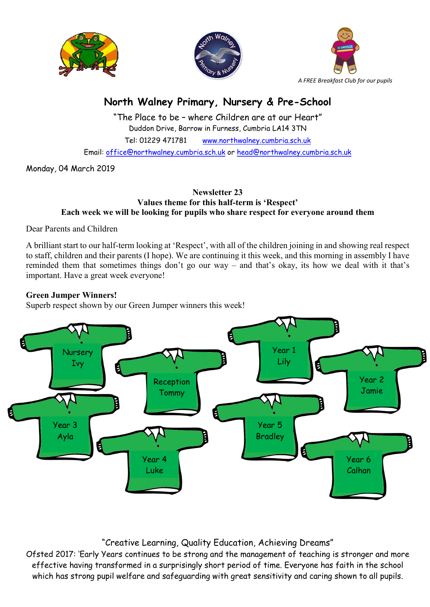





# North Walney Primary, Nursery & Pre-School

"The Place to be – where Children are at our Heart" Duddon Drive, Barrow in Furness, Cumbria LA14 3TN Tel: 01229 471781 www.northwalney.cumbria.sch.uk Email: office@northwalney.cumbria.sch.uk or head@northwalney.cumbria.sch.uk

Monday, 04 March 2019

#### Newsletter 23 Values theme for this half-term is 'Respect' Each week we will be looking for pupils who share respect for everyone around them

Dear Parents and Children

A brilliant start to our half-term looking at 'Respect', with all of the children joining in and showing real respect to staff, children and their parents (I hope). We are continuing it this week, and this morning in assembly I have reminded them that sometimes things don't go our way – and that's okay, its how we deal with it that's important. Have a great week everyone!

## Green Jumper Winners!

Superb respect shown by our Green Jumper winners this week!



## "Creative Learning, Quality Education, Achieving Dreams"

Ofsted 2017: 'Early Years continues to be strong and the management of teaching is stronger and more effective having transformed in a surprisingly short period of time. Everyone has faith in the school which has strong pupil welfare and safeguarding with great sensitivity and caring shown to all pupils.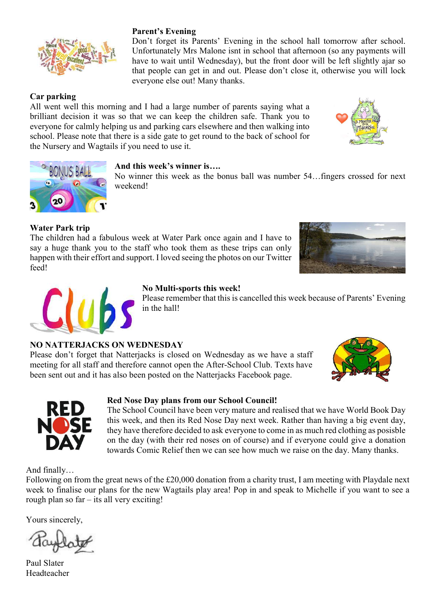

## Car parking

All went well this morning and I had a large number of parents saying what a brilliant decision it was so that we can keep the children safe. Thank you to everyone for calmly helping us and parking cars elsewhere and then walking into school. Please note that there is a side gate to get round to the back of school for the Nursery and Wagtails if you need to use it.

everyone else out! Many thanks.

Parent's Evening

## And this week's winner is….

No winner this week as the bonus ball was number 54…fingers crossed for next weekend!

Don't forget its Parents' Evening in the school hall tomorrow after school. Unfortunately Mrs Malone isnt in school that afternoon (so any payments will have to wait until Wednesday), but the front door will be left slightly ajar so that people can get in and out. Please don't close it, otherwise you will lock

## Water Park trip

The children had a fabulous week at Water Park once again and I have to say a huge thank you to the staff who took them as these trips can only happen with their effort and support. I loved seeing the photos on our Twitter feed!





#### No Multi-sports this week!

Please remember that this is cancelled this week because of Parents' Evening in the hall!

#### NO NATTERJACKS ON WEDNESDAY

Please don't forget that Natterjacks is closed on Wednesday as we have a staff meeting for all staff and therefore cannot open the After-School Club. Texts have been sent out and it has also been posted on the Natterjacks Facebook page.





#### Red Nose Day plans from our School Council!

The School Council have been very mature and realised that we have World Book Day this week, and then its Red Nose Day next week. Rather than having a big event day, they have therefore decided to ask everyone to come in as much red clothing as posisble on the day (with their red noses on of course) and if everyone could give a donation towards Comic Relief then we can see how much we raise on the day. Many thanks.

And finally…

Following on from the great news of the £20,000 donation from a charity trust, I am meeting with Playdale next week to finalise our plans for the new Wagtails play area! Pop in and speak to Michelle if you want to see a rough plan so far – its all very exciting!

Yours sincerely,

Paul Slater Headteacher